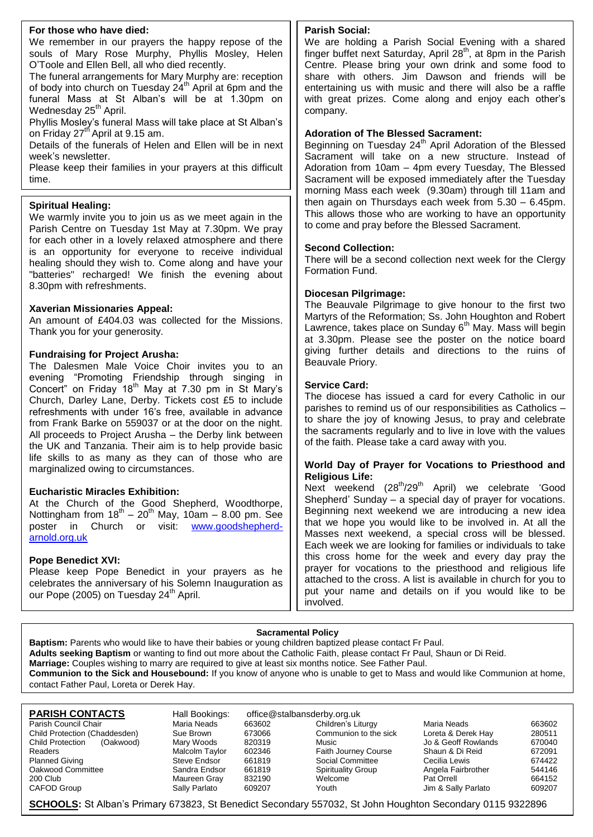#### **For those who have died:**

We remember in our prayers the happy repose of the souls of Mary Rose Murphy, Phyllis Mosley, Helen O'Toole and Ellen Bell, all who died recently.

The funeral arrangements for Mary Murphy are: reception of body into church on Tuesday 24<sup>th</sup> April at 6pm and the funeral Mass at St Alban's will be at 1.30pm on Wednesday 25<sup>th</sup> April.

Phyllis Mosley's funeral Mass will take place at St Alban's on Friday 27<sup>th</sup> April at 9.15 am.

Details of the funerals of Helen and Ellen will be in next week's newsletter.

Please keep their families in your prayers at this difficult time.

#### **Spiritual Healing:**

We warmly invite you to join us as we meet again in the Parish Centre on Tuesday 1st May at 7.30pm. We pray for each other in a lovely relaxed atmosphere and there is an opportunity for everyone to receive individual healing should they wish to. Come along and have your "batteries" recharged! We finish the evening about 8.30pm with refreshments.

#### **Xaverian Missionaries Appeal:**

An amount of £404.03 was collected for the Missions. Thank you for your generosity.

#### **Fundraising for Project Arusha:**

The Dalesmen Male Voice Choir invites you to an evening "Promoting Friendship through singing in Concert" on Friday 18th May at 7.30 pm in St Mary's Church, Darley Lane, Derby. Tickets cost £5 to include refreshments with under 16's free, available in advance from Frank Barke on 559037 or at the door on the night. All proceeds to Project Arusha – the Derby link between the UK and Tanzania. Their aim is to help provide basic life skills to as many as they can of those who are marginalized owing to circumstances.

#### **Eucharistic Miracles Exhibition:**

At the Church of the Good Shepherd, Woodthorpe, Nottingham from  $18<sup>th</sup> - 20<sup>th</sup>$  May, 10am - 8.00 pm. See poster in Church or visit: [www.goodshepherd](http://www.goodshepherd-arnold.org.uk/)[arnold.org.uk](http://www.goodshepherd-arnold.org.uk/)

#### **Pope Benedict XVI:**

Please keep Pope Benedict in your prayers as he celebrates the anniversary of his Solemn Inauguration as our Pope (2005) on Tuesday 24<sup>th</sup> April.

#### **Parish Social:**

We are holding a Parish Social Evening with a shared finger buffet next Saturday, April  $28<sup>th</sup>$ , at 8pm in the Parish Centre. Please bring your own drink and some food to share with others. Jim Dawson and friends will be entertaining us with music and there will also be a raffle with great prizes. Come along and enjoy each other's company.

#### **Adoration of The Blessed Sacrament:**

Beginning on Tuesday 24<sup>th</sup> April Adoration of the Blessed Sacrament will take on a new structure. Instead of Adoration from 10am – 4pm every Tuesday, The Blessed Sacrament will be exposed immediately after the Tuesday morning Mass each week (9.30am) through till 11am and then again on Thursdays each week from 5.30 – 6.45pm. This allows those who are working to have an opportunity to come and pray before the Blessed Sacrament.

#### **Second Collection:**

There will be a second collection next week for the Clergy Formation Fund.

#### **Diocesan Pilgrimage:**

The Beauvale Pilgrimage to give honour to the first two Martyrs of the Reformation; Ss. John Houghton and Robert Lawrence, takes place on Sunday 6<sup>th</sup> May. Mass will begin at 3.30pm. Please see the poster on the notice board giving further details and directions to the ruins of Beauvale Priory.

#### **Service Card:**

The diocese has issued a card for every Catholic in our parishes to remind us of our responsibilities as Catholics – to share the joy of knowing Jesus, to pray and celebrate the sacraments regularly and to live in love with the values of the faith. Please take a card away with you.

#### **World Day of Prayer for Vocations to Priesthood and Religious Life:**

Next weekend (28<sup>th</sup>/29<sup>th</sup> April) we celebrate 'Good Shepherd' Sunday – a special day of prayer for vocations. Beginning next weekend we are introducing a new idea that we hope you would like to be involved in. At all the Masses next weekend, a special cross will be blessed. Each week we are looking for families or individuals to take this cross home for the week and every day pray the prayer for vocations to the priesthood and religious life attached to the cross. A list is available in church for you to put your name and details on if you would like to be involved.

#### **Sacramental Policy**

**Baptism:** Parents who would like to have their babies or young children baptized please contact Fr Paul. **Adults seeking Baptism** or wanting to find out more about the Catholic Faith, please contact Fr Paul, Shaun or Di Reid. **Marriage:** Couples wishing to marry are required to give at least six months notice. See Father Paul. **Communion to the Sick and Housebound:** If you know of anyone who is unable to get to Mass and would like Communion at home, contact Father Paul, Loreta or Derek Hay.

**PARISH CONTACTS** Hall Bookings: office@stalbansderby.org.uk<br>
Parish Council Chair Maria Neads 663602 Children's Liturgy Parish Council Chair **Maria Neads** 663602 Children's Liturgy Maria Neads 663602<br>
Child Protection (Chaddesden) Sue Brown 673066 Communion to the sick Loreta & Derek Hay 280511 Child Protection (Chaddesden) Sue Brown 673066 Communion to the sick Loreta & Derek Hay Child Protection (Oakwood) Mary Woods 820319 Music Child Protection (Oakwood) Mary Woods 820319 Music Music Jo & Geoff Rowlands 670040<br>Readers Malcolm Tavlor 602346 Faith Journey Course Shaun & Di Reid 672091 Readers Malcolm Taylor 602346 Faith Journey Course Shaun & Di Reid 672091 Planned Giving Steve Endsor beta 661819 Social Committee Cecilia Lewis Committee S74422 Oakwood Committee Sandra Endsor 661819 Angela Fairbrother 544146<br>200 Club Maureen Gray 200 Club Maureen Gray 832190 Welcome Pat Orrell 664152

Sally Parlato 609207 Youth Jim & Sally Parlato

**SCHOOLS:** St Alban's Primary 673823, St Benedict Secondary 557032, St John Houghton Secondary 0115 9322896